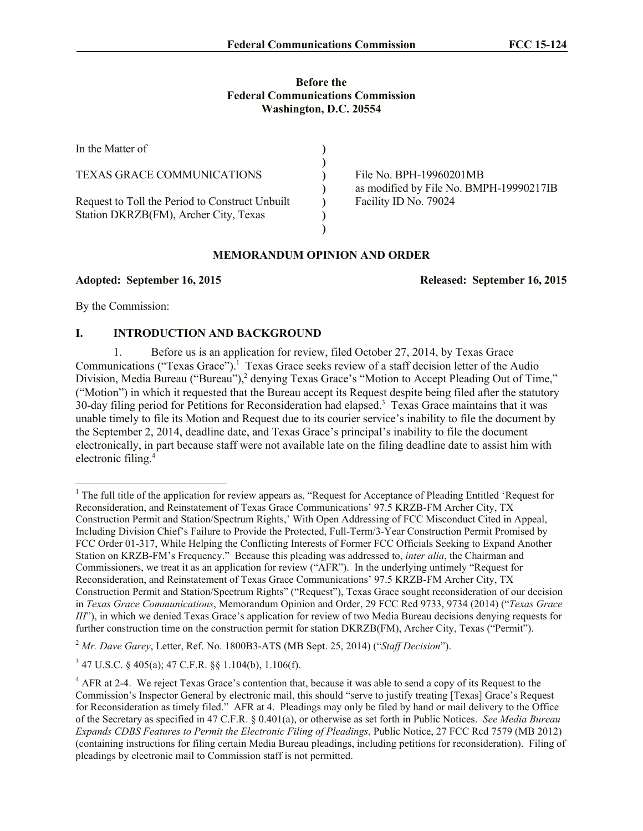#### **Before the Federal Communications Commission Washington, D.C. 20554**

| In the Matter of                                                                         |                                                                    |
|------------------------------------------------------------------------------------------|--------------------------------------------------------------------|
| <b>TEXAS GRACE COMMUNICATIONS</b>                                                        | File No. BPH-19960201MB<br>as modified by File No. BMPH-19990217IB |
| Request to Toll the Period to Construct Unbuilt<br>Station DKRZB(FM), Archer City, Texas | Facility ID No. 79024                                              |
|                                                                                          |                                                                    |

## **MEMORANDUM OPINION AND ORDER**

**Adopted: September 16, 2015 Released: September 16, 2015**

By the Commission:

l

# **I. INTRODUCTION AND BACKGROUND**

1. Before us is an application for review, filed October 27, 2014, by Texas Grace Communications ("Texas Grace").<sup>1</sup> Texas Grace seeks review of a staff decision letter of the Audio Division, Media Bureau ("Bureau"),<sup>2</sup> denying Texas Grace's "Motion to Accept Pleading Out of Time," ("Motion") in which it requested that the Bureau accept its Request despite being filed after the statutory 30-day filing period for Petitions for Reconsideration had elapsed.<sup>3</sup> Texas Grace maintains that it was unable timely to file its Motion and Request due to its courier service's inability to file the document by the September 2, 2014, deadline date, and Texas Grace's principal's inability to file the document electronically, in part because staff were not available late on the filing deadline date to assist him with electronic filing. 4

 $<sup>1</sup>$  The full title of the application for review appears as, "Request for Acceptance of Pleading Entitled 'Request for</sup> Reconsideration, and Reinstatement of Texas Grace Communications' 97.5 KRZB-FM Archer City, TX Construction Permit and Station/Spectrum Rights,' With Open Addressing of FCC Misconduct Cited in Appeal, Including Division Chief's Failure to Provide the Protected, Full-Term/3-Year Construction Permit Promised by FCC Order 01-317, While Helping the Conflicting Interests of Former FCC Officials Seeking to Expand Another Station on KRZB-FM's Frequency." Because this pleading was addressed to, *inter alia*, the Chairman and Commissioners, we treat it as an application for review ("AFR"). In the underlying untimely "Request for Reconsideration, and Reinstatement of Texas Grace Communications' 97.5 KRZB-FM Archer City, TX Construction Permit and Station/Spectrum Rights" ("Request"), Texas Grace sought reconsideration of our decision in *Texas Grace Communications*, Memorandum Opinion and Order, 29 FCC Rcd 9733, 9734 (2014) ("*Texas Grace III*"), in which we denied Texas Grace's application for review of two Media Bureau decisions denying requests for further construction time on the construction permit for station DKRZB(FM), Archer City, Texas ("Permit").

<sup>2</sup> *Mr. Dave Garey*, Letter, Ref. No. 1800B3-ATS (MB Sept. 25, 2014) ("*Staff Decision*").

 $3$  47 U.S.C. § 405(a); 47 C.F.R. §§ 1.104(b), 1.106(f).

<sup>&</sup>lt;sup>4</sup> AFR at 2-4. We reject Texas Grace's contention that, because it was able to send a copy of its Request to the Commission's Inspector General by electronic mail, this should "serve to justify treating [Texas] Grace's Request for Reconsideration as timely filed." AFR at 4. Pleadings may only be filed by hand or mail delivery to the Office of the Secretary as specified in 47 C.F.R. § 0.401(a), or otherwise as set forth in Public Notices. *See Media Bureau Expands CDBS Features to Permit the Electronic Filing of Pleadings*, Public Notice, 27 FCC Rcd 7579 (MB 2012) (containing instructions for filing certain Media Bureau pleadings, including petitions for reconsideration). Filing of pleadings by electronic mail to Commission staff is not permitted.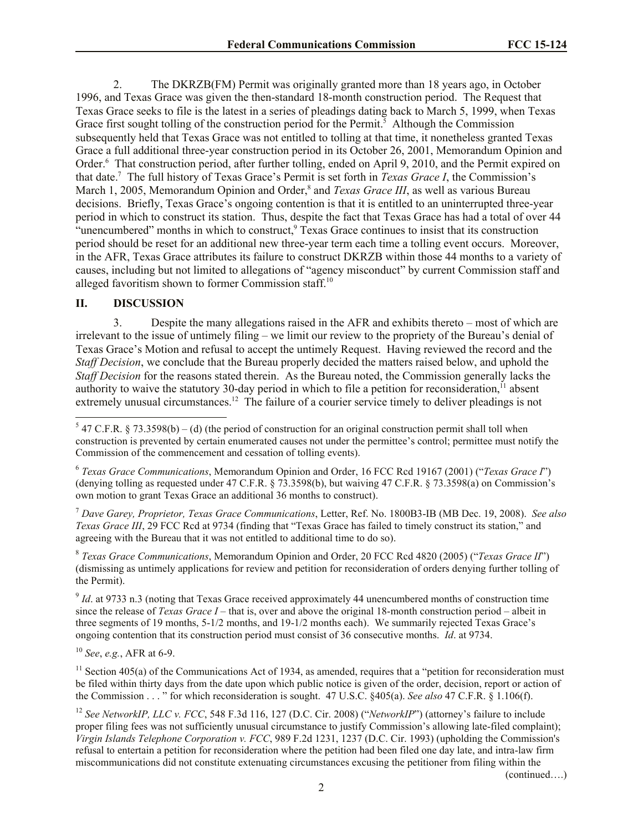2. The DKRZB(FM) Permit was originally granted more than 18 years ago, in October 1996, and Texas Grace was given the then-standard 18-month construction period. The Request that Texas Grace seeks to file is the latest in a series of pleadings dating back to March 5, 1999, when Texas Grace first sought tolling of the construction period for the Permit.<sup>5</sup> Although the Commission subsequently held that Texas Grace was not entitled to tolling at that time, it nonetheless granted Texas Grace a full additional three-year construction period in its October 26, 2001, Memorandum Opinion and Order.<sup>6</sup> That construction period, after further tolling, ended on April 9, 2010, and the Permit expired on that date.<sup>7</sup> The full history of Texas Grace's Permit is set forth in *Texas Grace I*, the Commission's March 1, 2005, Memorandum Opinion and Order,<sup>8</sup> and *Texas Grace III*, as well as various Bureau decisions. Briefly, Texas Grace's ongoing contention is that it is entitled to an uninterrupted three-year period in which to construct its station. Thus, despite the fact that Texas Grace has had a total of over 44 "unencumbered" months in which to construct,<sup>9</sup> Texas Grace continues to insist that its construction period should be reset for an additional new three-year term each time a tolling event occurs. Moreover, in the AFR, Texas Grace attributes its failure to construct DKRZB within those 44 months to a variety of causes, including but not limited to allegations of "agency misconduct" by current Commission staff and alleged favoritism shown to former Commission staff.<sup>10</sup>

### **II. DISCUSSION**

3. Despite the many allegations raised in the AFR and exhibits thereto – most of which are irrelevant to the issue of untimely filing – we limit our review to the propriety of the Bureau's denial of Texas Grace's Motion and refusal to accept the untimely Request. Having reviewed the record and the *Staff Decision*, we conclude that the Bureau properly decided the matters raised below, and uphold the *Staff Decision* for the reasons stated therein. As the Bureau noted, the Commission generally lacks the authority to waive the statutory 30-day period in which to file a petition for reconsideration,<sup>11</sup> absent extremely unusual circumstances.<sup>12</sup> The failure of a courier service timely to deliver pleadings is not

<sup>7</sup> *Dave Garey, Proprietor, Texas Grace Communications*, Letter, Ref. No. 1800B3-IB (MB Dec. 19, 2008). *See also Texas Grace III*, 29 FCC Rcd at 9734 (finding that "Texas Grace has failed to timely construct its station," and agreeing with the Bureau that it was not entitled to additional time to do so).

8 *Texas Grace Communications*, Memorandum Opinion and Order, 20 FCC Rcd 4820 (2005) ("*Texas Grace II*") (dismissing as untimely applications for review and petition for reconsideration of orders denying further tolling of the Permit).

 $9$  *Id.* at 9733 n.3 (noting that Texas Grace received approximately 44 unencumbered months of construction time since the release of *Texas Grace I* – that is, over and above the original 18-month construction period – albeit in three segments of 19 months, 5-1/2 months, and 19-1/2 months each). We summarily rejected Texas Grace's ongoing contention that its construction period must consist of 36 consecutive months. *Id*. at 9734.

<sup>10</sup> *See*, *e.g.*, AFR at 6-9.

 $11$  Section 405(a) of the Communications Act of 1934, as amended, requires that a "petition for reconsideration must be filed within thirty days from the date upon which public notice is given of the order, decision, report or action of the Commission . . . " for which reconsideration is sought. 47 U.S.C. §405(a). *See also* 47 C.F.R. § 1.106(f).

<sup>12</sup> *See NetworkIP, LLC v. FCC*, 548 F.3d 116, 127 (D.C. Cir. 2008) ("*NetworkIP*") (attorney's failure to include proper filing fees was not sufficiently unusual circumstance to justify Commission's allowing late-filed complaint); *Virgin Islands Telephone Corporation v. FCC*, 989 F.2d 1231, 1237 (D.C. Cir. 1993) (upholding the Commission's refusal to entertain a petition for reconsideration where the petition had been filed one day late, and intra-law firm miscommunications did not constitute extenuating circumstances excusing the petitioner from filing within the

(continued….)

 5 47 C.F.R. § 73.3598(b) – (d) (the period of construction for an original construction permit shall toll when construction is prevented by certain enumerated causes not under the permittee's control; permittee must notify the Commission of the commencement and cessation of tolling events).

<sup>6</sup> *Texas Grace Communications*, Memorandum Opinion and Order, 16 FCC Rcd 19167 (2001) ("*Texas Grace I*") (denying tolling as requested under 47 C.F.R. § 73.3598(b), but waiving 47 C.F.R. § 73.3598(a) on Commission's own motion to grant Texas Grace an additional 36 months to construct).